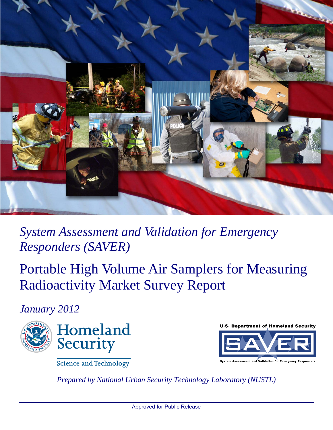

*System Assessment and Validation for Emergency Responders (SAVER)*

Portable High Volume Air Samplers for Measuring Radioactivity Market Survey Report

*January 2012*





Science and Technology

*Prepared by National Urban Security Technology Laboratory (NUSTL)*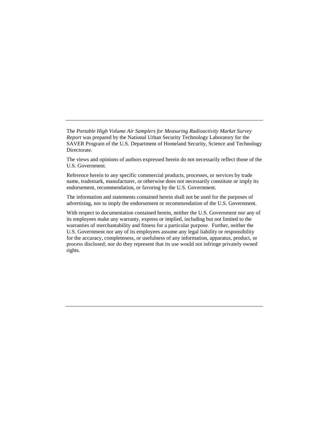The *Portable High Volume Air Samplers for Measuring Radioactivity Market Survey Report* was prepared by the National Urban Security Technology Laboratory for the SAVER Program of the U.S. Department of Homeland Security, Science and Technology Directorate.

The views and opinions of authors expressed herein do not necessarily reflect those of the U.S. Government.

Reference herein to any specific commercial products, processes, or services by trade name, trademark, manufacturer, or otherwise does not necessarily constitute or imply its endorsement, recommendation, or favoring by the U.S. Government.

The information and statements contained herein shall not be used for the purposes of advertising, nor to imply the endorsement or recommendation of the U.S. Government.

With respect to documentation contained herein, neither the U.S. Government nor any of its employees make any warranty, express or implied, including but not limited to the warranties of merchantability and fitness for a particular purpose. Further, neither the U.S. Government nor any of its employees assume any legal liability or responsibility for the accuracy, completeness, or usefulness of any information, apparatus, product, or process disclosed; nor do they represent that its use would not infringe privately owned rights.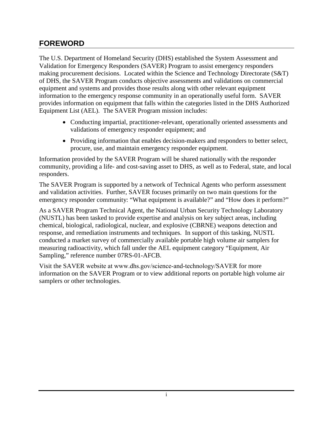#### <span id="page-2-0"></span>**FOREWORD**

The U.S. Department of Homeland Security (DHS) established the System Assessment and Validation for Emergency Responders (SAVER) Program to assist emergency responders making procurement decisions. Located within the Science and Technology Directorate (S&T) of DHS, the SAVER Program conducts objective assessments and validations on commercial equipment and systems and provides those results along with other relevant equipment information to the emergency response community in an operationally useful form. SAVER provides information on equipment that falls within the categories listed in the DHS Authorized Equipment List (AEL). The SAVER Program mission includes:

- Conducting impartial, practitioner-relevant, operationally oriented assessments and validations of emergency responder equipment; and
- Providing information that enables decision-makers and responders to better select, procure, use, and maintain emergency responder equipment.

Information provided by the SAVER Program will be shared nationally with the responder community, providing a life- and cost-saving asset to DHS, as well as to Federal, state, and local responders.

The SAVER Program is supported by a network of Technical Agents who perform assessment and validation activities. Further, SAVER focuses primarily on two main questions for the emergency responder community: "What equipment is available?" and "How does it perform?"

As a SAVER Program Technical Agent, the National Urban Security Technology Laboratory (NUSTL) has been tasked to provide expertise and analysis on key subject areas, including chemical, biological, radiological, nuclear, and explosive (CBRNE) weapons detection and response, and remediation instruments and techniques. In support of this tasking, NUSTL conducted a market survey of commercially available portable high volume air samplers for measuring radioactivity, which fall under the AEL equipment category "Equipment, Air Sampling," reference number 07RS-01-AFCB.

Visit the SAVER [website at www.dhs.gov/science-and-technology/SAVER](https://www.rkb.us/saver) for more information on the SAVER Program or to view additional reports on portable high volume air samplers or other technologies.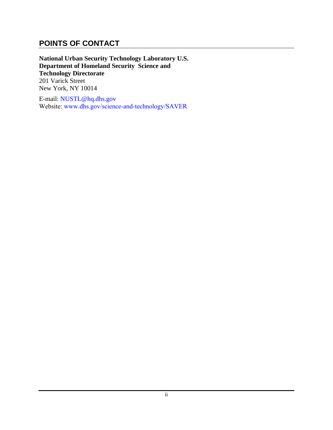#### <span id="page-3-0"></span>**POINTS OF CONTACT**

**National Urban Security Technology Laboratory U.S. Department of Homeland Security Science and Technology Directorate** 201 Varick Street New York, NY 10014

E-mail: NUSTL@hq.dhs.gov Websit[e: www.dhs.gov/](mailto:saver@dhs.gov)science-and-technology/SAVER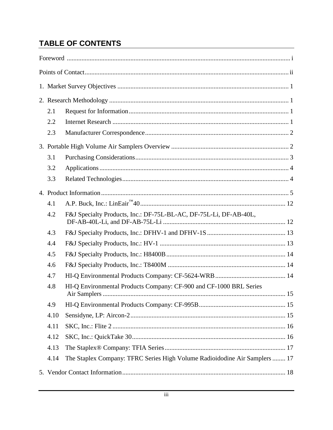# **TABLE OF CONTENTS**

| 2.1  |                                                                                    |  |  |  |  |  |  |  |  |
|------|------------------------------------------------------------------------------------|--|--|--|--|--|--|--|--|
| 2.2  |                                                                                    |  |  |  |  |  |  |  |  |
| 2.3  |                                                                                    |  |  |  |  |  |  |  |  |
|      |                                                                                    |  |  |  |  |  |  |  |  |
| 3.1  |                                                                                    |  |  |  |  |  |  |  |  |
| 3.2  |                                                                                    |  |  |  |  |  |  |  |  |
| 3.3  |                                                                                    |  |  |  |  |  |  |  |  |
|      |                                                                                    |  |  |  |  |  |  |  |  |
| 4.1  |                                                                                    |  |  |  |  |  |  |  |  |
| 4.2  | F&J Specialty Products, Inc.: DF-75L-BL-AC, DF-75L-Li, DF-AB-40L,                  |  |  |  |  |  |  |  |  |
| 4.3  |                                                                                    |  |  |  |  |  |  |  |  |
| 4.4  |                                                                                    |  |  |  |  |  |  |  |  |
| 4.5  |                                                                                    |  |  |  |  |  |  |  |  |
| 4.6  |                                                                                    |  |  |  |  |  |  |  |  |
| 4.7  |                                                                                    |  |  |  |  |  |  |  |  |
| 4.8  | HI-Q Environmental Products Company: CF-900 and CF-1000 BRL Series<br>Air Samplers |  |  |  |  |  |  |  |  |
| 4.9  |                                                                                    |  |  |  |  |  |  |  |  |
| 4.10 |                                                                                    |  |  |  |  |  |  |  |  |
| 4.11 |                                                                                    |  |  |  |  |  |  |  |  |
| 4.12 |                                                                                    |  |  |  |  |  |  |  |  |
| 4.13 |                                                                                    |  |  |  |  |  |  |  |  |
| 4.14 | The Staplex Company: TFRC Series High Volume Radioidodine Air Samplers  17         |  |  |  |  |  |  |  |  |
|      |                                                                                    |  |  |  |  |  |  |  |  |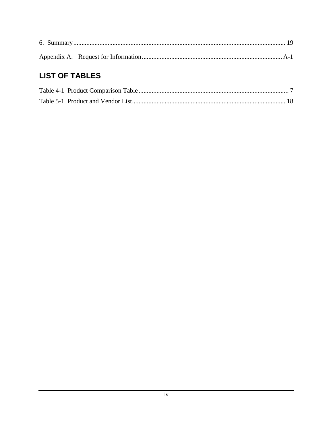# **LIST OF TABLES**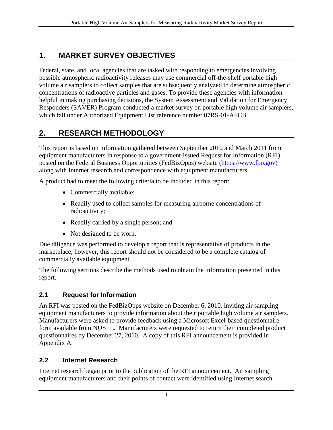## <span id="page-6-0"></span>**1. MARKET SURVEY OBJECTIVES**

Federal, state, and local agencies that are tasked with responding to emergencies involving possible atmospheric radioactivity releases may use commercial off-the-shelf portable high volume air samplers to collect samples that are subsequently analyzed to determine atmospheric concentrations of radioactive particles and gases. To provide these agencies with information helpful in making purchasing decisions, the System Assessment and Validation for Emergency Responders (SAVER) Program conducted a market survey on portable high volume air samplers, which fall under Authorized Equipment List reference number 07RS-01-AFCB.

# <span id="page-6-1"></span>**2. RESEARCH METHODOLOGY**

This report is based on information gathered between September 2010 and March 2011 from equipment manufacturers in response to a government-issued Request for Information (RFI) posted on the Federal Business Opportunities (FedBizOpps) website [\(https://www.fbo.gov\)](https://www.fbo.gov/) along with Internet research and correspondence with equipment manufacturers.

A product had to meet the following criteria to be included in this report:

- Commercially available;
- Readily used to collect samples for measuring airborne concentrations of radioactivity;
- Readily carried by a single person; and
- Not designed to be worn.

Due diligence was performed to develop a report that is representative of products in the marketplace; however, this report should not be considered to be a complete catalog of commercially available equipment.

The following sections describe the methods used to obtain the information presented in this report.

## <span id="page-6-2"></span>**2.1 Request for Information**

An RFI was posted on the FedBizOpps website on December 6, 2010, inviting air sampling equipment manufacturers to provide information about their portable high volume air samplers. Manufacturers were asked to provide feedback using a Microsoft Excel-based questionnaire form available from NUSTL. Manufacturers were requested to return their completed product questionnaires by December 27, 2010. A copy of this RFI announcement is provided in Appendix A.

#### <span id="page-6-3"></span>**2.2 Internet Research**

Internet research began prior to the publication of the RFI announcement. Air sampling equipment manufacturers and their points of contact were identified using Internet search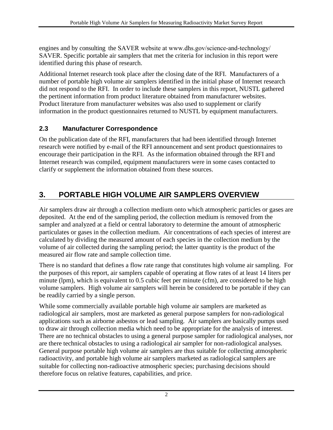engines and by consulting the SAVER website at www.dhs.gov/science-and-technology/ SAVER. [Specific portable air samplers](https://www.rkb.us/ProductsMain.cfm) that met the criteria for inclusion in this report were identified during this phase of research.

Additional Internet research took place after the closing date of the RFI. Manufacturers of a number of portable high volume air samplers identified in the initial phase of Internet research did not respond to the RFI. In order to include these samplers in this report, NUSTL gathered the pertinent information from product literature obtained from manufacturer websites. Product literature from manufacturer websites was also used to supplement or clarify information in the product questionnaires returned to NUSTL by equipment manufacturers.

#### <span id="page-7-0"></span>**2.3 Manufacturer Correspondence**

On the publication date of the RFI, manufacturers that had been identified through Internet research were notified by e-mail of the RFI announcement and sent product questionnaires to encourage their participation in the RFI. As the information obtained through the RFI and Internet research was compiled, equipment manufacturers were in some cases contacted to clarify or supplement the information obtained from these sources.

# <span id="page-7-1"></span>**3. PORTABLE HIGH VOLUME AIR SAMPLERS OVERVIEW**

Air samplers draw air through a collection medium onto which atmospheric particles or gases are deposited. At the end of the sampling period, the collection medium is removed from the sampler and analyzed at a field or central laboratory to determine the amount of atmospheric particulates or gases in the collection medium. Air concentrations of each species of interest are calculated by dividing the measured amount of each species in the collection medium by the volume of air collected during the sampling period; the latter quantity is the product of the measured air flow rate and sample collection time.

There is no standard that defines a flow rate range that constitutes high volume air sampling. For the purposes of this report, air samplers capable of operating at flow rates of at least 14 liters per minute (lpm), which is equivalent to 0.5 cubic feet per minute (cfm), are considered to be high volume samplers. High volume air samplers will herein be considered to be portable if they can be readily carried by a single person.

While some commercially available portable high volume air samplers are marketed as radiological air samplers, most are marketed as general purpose samplers for non-radiological applications such as airborne asbestos or lead sampling. Air samplers are basically pumps used to draw air through collection media which need to be appropriate for the analysis of interest. There are no technical obstacles to using a general purpose sampler for radiological analyses, nor are there technical obstacles to using a radiological air sampler for non-radiological analyses. General purpose portable high volume air samplers are thus suitable for collecting atmospheric radioactivity, and portable high volume air samplers marketed as radiological samplers are suitable for collecting non-radioactive atmospheric species; purchasing decisions should therefore focus on relative features, capabilities, and price.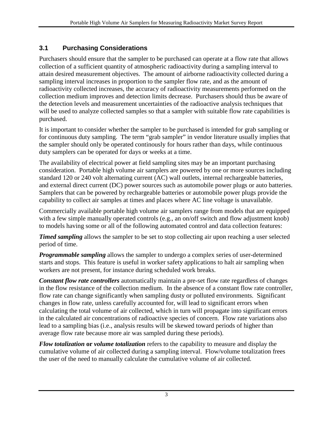#### <span id="page-8-0"></span>**3.1 Purchasing Considerations**

Purchasers should ensure that the sampler to be purchased can operate at a flow rate that allows collection of a sufficient quantity of atmospheric radioactivity during a sampling interval to attain desired measurement objectives. The amount of airborne radioactivity collected during a sampling interval increases in proportion to the sampler flow rate, and as the amount of radioactivity collected increases, the accuracy of radioactivity measurements performed on the collection medium improves and detection limits decrease. Purchasers should thus be aware of the detection levels and measurement uncertainties of the radioactive analysis techniques that will be used to analyze collected samples so that a sampler with suitable flow rate capabilities is purchased.

It is important to consider whether the sampler to be purchased is intended for grab sampling or for continuous duty sampling. The term "grab sampler" in vendor literature usually implies that the sampler should only be operated continously for hours rather than days, while continuous duty samplers can be operated for days or weeks at a time.

The availability of electrical power at field sampling sites may be an important purchasing consideration. Portable high volume air samplers are powered by one or more sources including standard 120 or 240 volt alternating current (AC) wall outlets, internal rechargeable batteries, and external direct current (DC) power sources such as automobile power plugs or auto batteries. Samplers that can be powered by rechargeable batteries or automobile power plugs provide the capability to collect air samples at times and places where AC line voltage is unavailable.

Commercially available portable high volume air samplers range from models that are equipped with a few simple manually operated controls (e.g., an on/off switch and flow adjustment knob) to models having some or all of the following automated control and data collection features:

*Timed sampling* allows the sampler to be set to stop collecting air upon reaching a user selected period of time.

*Programmable sampling* allows the sampler to undergo a complex series of user-determined starts and stops. This feature is useful in worker safety applications to halt air sampling when workers are not present, for instance during scheduled work breaks.

*Constant flow rate controllers* automatically maintain a pre-set flow rate regardless of changes in the flow resistance of the collection medium. In the absence of a constant flow rate controller, flow rate can change significantly when sampling dusty or polluted environments. Significant changes in flow rate, unless carefully accounted for, will lead to significant errors when calculating the total volume of air collected, which in turn will propagate into significant errors in the calculated air concentrations of radioactive species of concern. Flow rate variations also lead to a sampling bias (i.e., analysis results will be skewed toward periods of higher than average flow rate because more air was sampled during these periods).

*Flow totalization* **or** *volume totalization* refers to the capability to measure and display the cumulative volume of air collected during a sampling interval. Flow/volume totalization frees the user of the need to manually calculate the cumulative volume of air collected.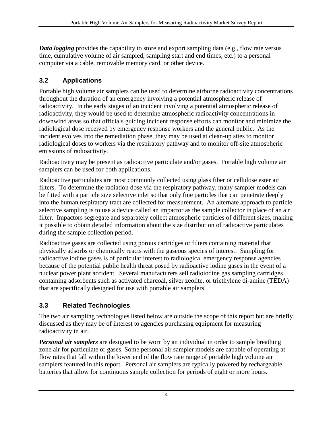*Data logging* provides the capability to store and export sampling data (e.g., flow rate versus time, cumulative volume of air sampled, sampling start and end times, etc.) to a personal computer via a cable, removable memory card, or other device.

#### <span id="page-9-0"></span>**3.2 Applications**

Portable high volume air samplers can be used to determine airborne radioactivity concentrations throughout the duration of an emergency involving a potential atmospheric release of radioactivity. In the early stages of an incident involving a potential atmospheric release of radioactivity, they would be used to determine atmospheric radioactivity concentrations in downwind areas so that officials guiding incident response efforts can monitor and minimize the radiological dose received by emergency response workers and the general public. As the incident evolves into the remediation phase, they may be used at clean-up sites to monitor radiological doses to workers via the respiratory pathway and to monitor off-site atmospheric emissions of radioactivity.

Radioactivity may be present as radioactive particulate and/or gases. Portable high volume air samplers can be used for both applications.

Radioactive particulates are most commonly collected using glass fiber or cellulose ester air filters. To determine the radiation dose via the respiratory pathway, many sampler models can be fitted with a particle size selective inlet so that only fine particles that can penetrate deeply into the human respiratory tract are collected for measurement. An alternate approach to particle selective sampling is to use a device called an impactor as the sample collector in place of an air filter. Impactors segregate and separately collect atmospheric particles of different sizes, making it possible to obtain detailed information about the size distribution of radioactive particulates during the sample collection period.

Radioactive gases are collected using porous cartridges or filters containing material that physically adsorbs or chemically reacts with the gaseous species of interest. Sampling for radioactive iodine gases is of particular interest to radiological emergency response agencies because of the potential public health threat posed by radioactive iodine gases in the event of a nuclear power plant accident. Several manufacturers sell radioiodine gas sampling cartridges containing adsorbents such as activated charcoal, silver zeolite, or triethylene di-amine (TEDA) that are specifically designed for use with portable air samplers.

#### <span id="page-9-1"></span>**3.3 Related Technologies**

The two air sampling technologies listed below are outside the scope of this report but are briefly discussed as they may be of interest to agencies purchasing equipment for measuring radioactivity in air.

*Personal air samplers* are designed to be worn by an individual in order to sample breathing zone air for particulate or gases. Some personal air sampler models are capable of operating at flow rates that fall within the lower end of the flow rate range of portable high volume air samplers featured in this report. Personal air samplers are typically powered by rechargeable batteries that allow for continuous sample collection for periods of eight or more hours.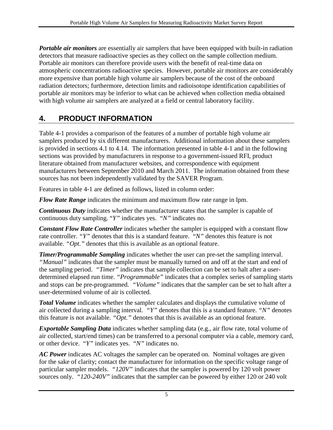*Portable air monitors* are essentially air samplers that have been equipped with built-in radiation detectors that measure radioactive species as they collect on the sample collection medium. Portable air monitors can therefore provide users with the benefit of real-time data on atmospheric concentrations radioactive species. However, portable air monitors are considerably more expensive than portable high volume air samplers because of the cost of the onboard radiation detectors; furthermore, detection limits and radioisotope identification capabilities of portable air monitors may be inferior to what can be achieved when collection media obtained with high volume air samplers are analyzed at a field or central laboratory facility.

# <span id="page-10-0"></span>**4. PRODUCT INFORMATION**

Table 4-1 provides a comparison of the features of a number of portable high volume air samplers produced by six different manufacturers. Additional information about these samplers is provided in sections 4.1 to 4.14. The information presented in table 4-1 and in the following sections was provided by manufacturers in response to a government-issued RFI, product literature obtained from manufacturer websites, and correspondence with equipment manufacturers between September 2010 and March 2011. The information obtained from these sources has not been independently validated by the SAVER Program.

Features in table 4-1 are defined as follows, listed in column order:

*Flow Rate Range* indicates the minimum and maximum flow rate range in lpm.

*Continuous Duty* indicates whether the manufacturer states that the sampler is capable of continuous duty sampling. "*Y"* indicates yes. "*N"* indicates no.

*Constant Flow Rate Controller* indicates whether the sampler is equipped with a constant flow rate controller. *"Y"* denotes that this is a standard feature. "*N"* denotes this feature is not available. *"Opt."* denotes that this is available as an optional feature.

*Timer/Programmable Sampling* indicates whether the user can pre-set the sampling interval. *"Manual"* indicates that the sampler must be manually turned on and off at the start and end of the sampling period. *"Timer"* indicates that sample collection can be set to halt after a userdetermined elapsed run time. *"Programmable"* indicates that a complex series of sampling starts and stops can be pre-programmed. *"Volume"* indicates that the sampler can be set to halt after a user-determined volume of air is collected.

**Total Volume** indicates whether the sampler calculates and displays the cumulative volume of air collected during a sampling interval. *"Y"* denotes that this is a standard feature. *"N"* denotes this feature is not available. *"Opt."* denotes that this is available as an optional feature.

*Exportable Sampling Data* indicates whether sampling data (e.g., air flow rate, total volume of air collected, start/end times) can be transferred to a personal computer via a cable, memory card, or other device. "*Y"* indicates yes. "*N"* indicates no.

*AC Power* indicates AC voltages the sampler can be operated on. Nominal voltages are given for the sake of clarity; contact the manufacturer for information on the specific voltage range of particular sampler models. *"120V"* indicates that the sampler is powered by 120 volt power sources only. *"120-240V"* indicates that the sampler can be powered by either 120 or 240 volt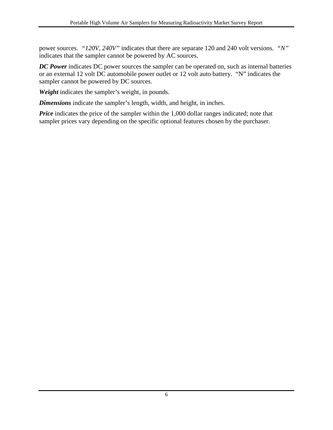power sources. *"120V, 240V"* indicates that there are separate 120 and 240 volt versions. *"N"* indicates that the sampler cannot be powered by AC sources.

*DC Power* indicates DC power sources the sampler can be operated on, such as internal batteries or an external 12 volt DC automobile power outlet or 12 volt auto battery. "N" indicates the sampler cannot be powered by DC sources.

*Weight* indicates the sampler's weight, in pounds.

*Dimensions* indicate the sampler's length, width, and height, in inches.

*Price* indicates the price of the sampler within the 1,000 dollar ranges indicated; note that sampler prices vary depending on the specific optional features chosen by the purchaser.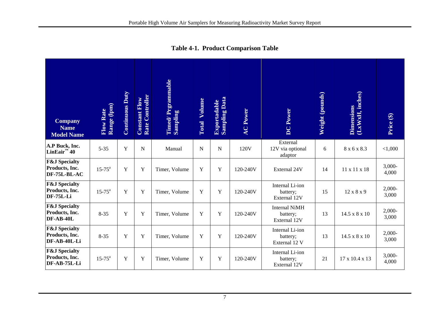<span id="page-12-0"></span>

| <b>Company</b><br><b>Name</b><br><b>Model Name</b>         | Flow Rate<br>Range (lpm) | <b>Continuous Duty</b> | Rate Controller<br><b>Constant Flow</b> | Timed/Prgrammable<br>Sampling | Volume<br>Total | <b>Sampling Data</b><br><b>Exportadable</b> | <b>AC Power</b> | <b>DC</b> Power                                  | Weight (pounds) | (LxWxH, inches)<br><b>Dimensions</b> | Price (\$)        |
|------------------------------------------------------------|--------------------------|------------------------|-----------------------------------------|-------------------------------|-----------------|---------------------------------------------|-----------------|--------------------------------------------------|-----------------|--------------------------------------|-------------------|
| A.P Buck, Inc.<br>LinEair <sup><math>M</math></sup> 40     | $5 - 35$                 | Y                      | $\mathbf N$                             | Manual                        | $\mathbf N$     | ${\bf N}$                                   | 120V            | External<br>12V via optional<br>adaptor          | 6               | 8 x 6 x 8.3                          | < 1,000           |
| <b>F&amp;J</b> Specialty<br>Products, Inc.<br>DF-75L-BL-AC | $15 - 75^{\circ}$        | Y                      | Y                                       | Timer, Volume                 | Y               | Y                                           | 120-240V        | External 24V                                     | 14              | 11 x 11 x 18                         | 3,000-<br>4,000   |
| <b>F&amp;J</b> Specialty<br>Products, Inc.<br>DF-75L-Li    | $15 - 75^{\circ}$        | Y                      | Y                                       | Timer, Volume                 | Y               | $\mathbf Y$                                 | 120-240V        | Internal Li-ion<br>battery;<br>External 12V      | 15              | 12 x 8 x 9                           | $2,000-$<br>3,000 |
| <b>F&amp;J</b> Specialty<br>Products, Inc.<br>DF-AB-40L    | $8 - 35$                 | Y                      | Y                                       | Timer, Volume                 | Y               | $\mathbf Y$                                 | 120-240V        | <b>Internal NiMH</b><br>battery;<br>External 12V | 13              | 14.5 x 8 x 10                        | $2,000-$<br>3,000 |
| <b>F&amp;J</b> Specialty<br>Products, Inc.<br>DF-AB-40L-Li | $8 - 35$                 | Y                      | $\mathbf Y$                             | Timer, Volume                 | Y               | $\mathbf Y$                                 | 120-240V        | Internal Li-ion<br>battery;<br>External 12 V     | 13              | 14.5 x 8 x 10                        | $2,000-$<br>3,000 |
| <b>F&amp;J</b> Specialty<br>Products, Inc.<br>DF-AB-75L-Li | $15 - 75^{\circ}$        | Y                      | Y                                       | Timer, Volume                 | Y               | Y                                           | 120-240V        | Internal Li-ion<br>battery;<br>External 12V      | 21              | 17 x 10.4 x 13                       | $3,000-$<br>4,000 |

**Table 4-1. Product Comparison Table**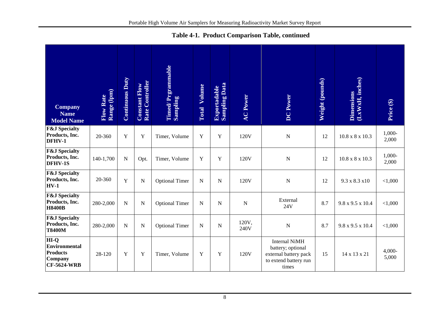|  |  |  | Table 4-1. Product Comparison Table, continued |
|--|--|--|------------------------------------------------|
|--|--|--|------------------------------------------------|

| <b>Company</b><br><b>Name</b><br><b>Model Name</b>                        | Flow Rate<br>Range (lpm) | <b>Continuous Duty</b> | Rate Controller<br><b>Constant Flow</b> | Timed/ Prgrammable<br>Sampling | Volume<br>Total | <b>Exportadable</b><br>Sampling Data | <b>AC Power</b> | DC Power                                                                                             | Weight (pounds) | Dimensions<br>(LxWxH, inches) | Price (\$)        |
|---------------------------------------------------------------------------|--------------------------|------------------------|-----------------------------------------|--------------------------------|-----------------|--------------------------------------|-----------------|------------------------------------------------------------------------------------------------------|-----------------|-------------------------------|-------------------|
| <b>F&amp;J</b> Specialty<br>Products, Inc.<br>DFHV-1                      | 20-360                   | $\mathbf Y$            | Y                                       | Timer, Volume                  | Y               | $\mathbf Y$                          | 120V            | $\mathbf N$                                                                                          | 12              | $10.8 \times 8 \times 10.3$   | 1,000-<br>2,000   |
| <b>F&amp;J</b> Specialty<br>Products, Inc.<br><b>DFHV-1S</b>              | 140-1,700                | ${\bf N}$              | Opt.                                    | Timer, Volume                  | Y               | $\mathbf Y$                          | 120V            | $\mathbf N$                                                                                          | 12              | $10.8 \times 8 \times 10.3$   | 1,000-<br>2,000   |
| <b>F&amp;J</b> Specialty<br>Products, Inc.<br>$HV-1$                      | 20-360                   | Y                      | $\mathbf N$                             | <b>Optional Timer</b>          | $\mathbf N$     | N                                    | 120V            | $\mathbf N$                                                                                          | 12              | 9.3 x 8.3 x10                 | < 1,000           |
| <b>F&amp;J</b> Specialty<br>Products, Inc.<br><b>H8400B</b>               | 280-2,000                | ${\bf N}$              | N                                       | <b>Optional Timer</b>          | $\mathbf N$     | N                                    | N               | External<br>24V                                                                                      | 8.7             | 9.8 x 9.5 x 10.4              | < 1,000           |
| <b>F&amp;J</b> Specialty<br>Products, Inc.<br><b>T8400M</b>               | 280-2,000                | $\mathbf N$            | N                                       | <b>Optional Timer</b>          | $\mathbf N$     | N                                    | 120V,<br>240V   | $\mathbf N$                                                                                          | 8.7             | 9.8 x 9.5 x 10.4              | < 1,000           |
| HI-Q<br>Environmental<br><b>Products</b><br>Company<br><b>CF-5624-WRB</b> | 28-120                   | Y                      | Y                                       | Timer, Volume                  | Y               | Y                                    | 120V            | <b>Internal NiMH</b><br>battery; optional<br>external battery pack<br>to extend battery run<br>times | 15              | 14 x 13 x 21                  | $4,000-$<br>5,000 |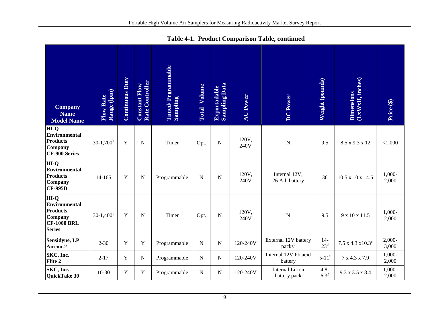| <b>Company</b>                                                                                      | Range (lpm)<br>Flow Rate | <b>Continuous Duty</b> | Rate Controller<br><b>Constant Flow</b> | Timed/Prgrammable<br>Sampling | <b>Total Volume</b> | <b>Sampling Data</b><br><b>Exportadable</b> | <b>AC Power</b> | <b>DC</b> Power                            | Weight (pounds)             | (LxWxH, inches)<br><b>Dimensions</b> |                   |
|-----------------------------------------------------------------------------------------------------|--------------------------|------------------------|-----------------------------------------|-------------------------------|---------------------|---------------------------------------------|-----------------|--------------------------------------------|-----------------------------|--------------------------------------|-------------------|
| <b>Name</b><br><b>Model Name</b>                                                                    |                          |                        |                                         |                               |                     |                                             |                 |                                            |                             |                                      | Price (\$)        |
| HI-Q<br><b>Environmental</b><br><b>Products</b><br>Company<br><b>CF-900 Series</b>                  | $30-1,700^b$             | Y                      | N                                       | Timer                         | Opt.                | ${\bf N}$                                   | 120V,<br>240V   | $\overline{N}$                             | 9.5                         | 8.5 x 9.3 x 12                       | < 1,000           |
| $\overline{H}I-Q$<br><b>Environmental</b><br><b>Products</b><br>Company<br><b>CF-995B</b>           | $14 - 165$               | Y                      | $\mathbf N$                             | Programmable                  | $\mathbf N$         | ${\bf N}$                                   | 120V,<br>240V   | Internal 12V,<br>26 A-h battery            | 36                          | $10.5 \times 10 \times 14.5$         | 1,000-<br>2,000   |
| $HI-O$<br><b>Environmental</b><br><b>Products</b><br>Company<br><b>CF-1000 BRL</b><br><b>Series</b> | $30-1,400^b$             | Y                      | N                                       | Timer                         | Opt.                | N                                           | 120V,<br>240V   | N                                          | 9.5                         | 9 x 10 x 11.5                        | 1,000-<br>2,000   |
| Sensidyne, LP<br>Aircon-2                                                                           | $2 - 30$                 | $\mathbf Y$            | Y                                       | Programmable                  | $\mathbf N$         | ${\bf N}$                                   | 120-240V        | External 12V battery<br>packs <sup>c</sup> | $14-$<br>$23^{\rm d}$       | $7.5 \times 4.3 \times 10.3^e$       | $2,000-$<br>3,000 |
| SKC, Inc.<br>Flite 2                                                                                | $2 - 17$                 | Y                      | $\mathbf N$                             | Programmable                  | N                   | ${\bf N}$                                   | 120-240V        | Internal 12V Pb acid<br>battery            | $5-11^f$                    | 7 x 4.3 x 7.9                        | 1,000-<br>2,000   |
| SKC, Inc.<br>QuickTake 30                                                                           | $10 - 30$                | Y                      | Y                                       | Programmable                  | $\mathbf N$         | ${\bf N}$                                   | 120-240V        | Internal Li-ion<br>battery pack            | $4.8 -$<br>6.3 <sup>g</sup> | 9.3 x 3.5 x 8.4                      | 1,000-<br>2,000   |

**Table 4-1. Product Comparison Table, continued**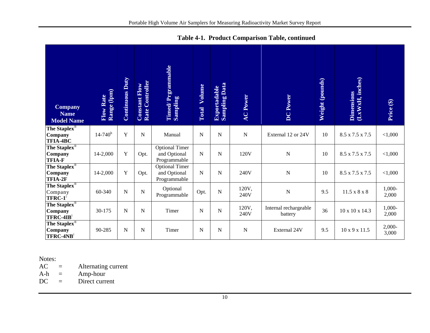| <b>Company</b><br><b>Name</b><br><b>Model Name</b>                | Range (lpm)<br>Flow Rate | <b>Continuous Duty</b> | Rate Controller<br><b>Constant Flow</b> | <b>Timed/Prgrammable</b><br>Sampling                  | Volume<br>Total | <b>Sampling Data</b><br><b>Exportadable</b> | <b>AC Power</b> | <b>DC</b> Power                  | Weight (pounds) | $\begin{array}{c} \hbox{Dimensions} \ \hbox{(LxWxH, inches)} \end{array}$ | Price (\$)        |
|-------------------------------------------------------------------|--------------------------|------------------------|-----------------------------------------|-------------------------------------------------------|-----------------|---------------------------------------------|-----------------|----------------------------------|-----------------|---------------------------------------------------------------------------|-------------------|
| The Staplex $\overline{\mathbb{S}}$<br>Company<br><b>TFIA-4BC</b> | $14 - 740$ <sup>h</sup>  | Y                      | $\mathbf N$                             | Manual                                                | $\mathbf N$     | $\mathbf N$                                 | $\mathbf N$     | External 12 or 24V               | 10              | 8.5 x 7.5 x 7.5                                                           | < 1,000           |
| The Staplex®<br>Company<br><b>TFIA-F</b>                          | 14-2,000                 | $\mathbf Y$            | Opt.                                    | <b>Optional Timer</b><br>and Optional<br>Programmable | ${\bf N}$       | $\mathbf N$                                 | 120V            | $\mathbf N$                      | 10              | 8.5 x 7.5 x 7.5                                                           | < 1,000           |
| The Staplex®<br>Company<br>TFIA-2F                                | 14-2,000                 | $\mathbf Y$            | Opt.                                    | <b>Optional Timer</b><br>and Optional<br>Programmable | $\mathbf N$     | $\overline{N}$                              | 240V            | $\overline{N}$                   | 10              | 8.5 x 7.5 x 7.5                                                           | < 1,000           |
| The Staplex®<br>Company<br>$TFRC-1$ <sup>i</sup>                  | 60-340                   | N                      | $\mathbf N$                             | Optional<br>Programmable                              | Opt.            | $\mathbf N$                                 | 120V,<br>240V   | $\overline{N}$                   | 9.5             | $11.5 \times 8 \times 8$                                                  | $1,000-$<br>2,000 |
| The Staplex®<br>Company<br>$TFRC-4IBi$                            | 30-175                   | N                      | $\mathbf N$                             | Timer                                                 | $\mathbf N$     | $\mathbf N$                                 | 120V,<br>240V   | Internal rechargeable<br>battery | 36              | 10 x 10 x 14.3                                                            | 1,000-<br>2,000   |
| The Staplex®<br>Company<br>TFRC-4NB                               | 90-285                   | N                      | $\mathbf N$                             | Timer                                                 | $\mathbf N$     | $\overline{N}$                              | N               | External 24V                     | 9.5             | 10 x 9 x 11.5                                                             | 2,000-<br>3,000   |

**Table 4-1. Product Comparison Table, continued**

Notes:<br>AC

AC = Alternating current<br>A-h = Amp-hour

Amp-hour

DC = Direct current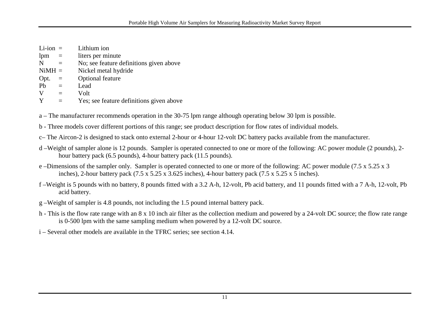| $Li-ion =$ |     | Lithium ion                              |
|------------|-----|------------------------------------------|
| lpm        | $=$ | liters per minute                        |
| N          | $=$ | No; see feature definitions given above  |
| $NiMH =$   |     | Nickel metal hydride                     |
| Opt.       | $=$ | <b>Optional feature</b>                  |
| Pb         | $=$ | Lead                                     |
| V          | $=$ | Volt                                     |
| Y          |     | Yes; see feature definitions given above |

a – The manufacturer recommends operation in the 30-75 lpm range although operating below 30 lpm is possible.

b - Three models cover different portions of this range; see product description for flow rates of individual models.

c– The Aircon-2 is designed to stack onto external 2-hour or 4-hour 12-volt DC battery packs available from the manufacturer.

- d –Weight of sampler alone is 12 pounds. Sampler is operated connected to one or more of the following: AC power module (2 pounds), 2 hour battery pack (6.5 pounds), 4-hour battery pack (11.5 pounds).
- e –Dimensions of the sampler only. Sampler is operated connected to one or more of the following: AC power module (7.5 x 5.25 x 3 inches), 2-hour battery pack (7.5 x 5.25 x 3.625 inches), 4-hour battery pack (7.5 x 5.25 x 5 inches).
- f –Weight is 5 pounds with no battery, 8 pounds fitted with a 3.2 A-h, 12-volt, Pb acid battery, and 11 pounds fitted with a 7 A-h, 12-volt, Pb acid battery.
- g –Weight of sampler is 4.8 pounds, not including the 1.5 pound internal battery pack.
- h This is the flow rate range with an 8 x 10 inch air filter as the collection medium and powered by a 24-volt DC source; the flow rate range is 0-500 lpm with the same sampling medium when powered by a 12-volt DC source.

i – Several other models are available in the TFRC series; see section 4.14.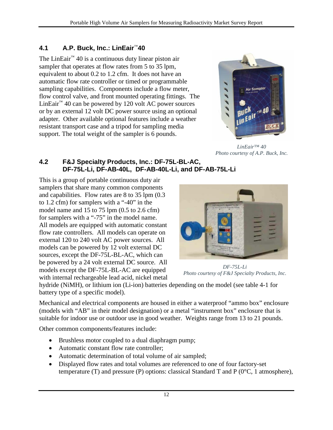#### **4.1 A.P. Buck, Inc.: LinEair**™**40**

The LinEair<sup>™</sup> 40 is a continuous duty linear piston air sampler that operates at flow rates from 5 to 35 lpm, equivalent to about 0.2 to 1.2 cfm. It does not have an automatic flow rate controller or timed or programmable sampling capabilities. Components include a flow meter, flow control valve, and front mounted operating fittings. The LinEair<sup>™</sup> 40 can be powered by 120 volt AC power sources or by an external 12 volt DC power source using an optional adapter. Other available optional features include a weather resistant transport case and a tripod for sampling media support. The total weight of the sampler is 6 pounds.

<span id="page-17-0"></span>

*LinEair™ 40 Photo courtesy of A.P. Buck, Inc.*

#### <span id="page-17-1"></span>**4.2 F&J Specialty Products, Inc.: DF-75L-BL-AC, DF-75L-Li, DF-AB-40L, DF-AB-40L-Li, and DF-AB-75L-Li**

This is a group of portable continuous duty air samplers that share many common components and capabilities. Flow rates are 8 to 35 lpm (0.3 to 1.2 cfm) for samplers with a "-40" in the model name and  $15$  to  $75$  lpm  $(0.5$  to  $2.6$  cfm) for samplers with a "-75" in the model name. All models are equipped with automatic constant flow rate controllers. All models can operate on external 120 to 240 volt AC power sources. All models can be powered by 12 volt external DC sources, except the DF-75L-BL-AC, which can be powered by a 24 volt external DC source. All models except the DF-75L-BL-AC are equipped with internal rechargeable lead acid, nickel metal



*DF-75L-Li Photo courtesy of F&J Specialty Products, Inc.*

hydride (NiMH), or lithium ion (Li-ion) batteries depending on the model (see table 4-1 for battery type of a specific model).

Mechanical and electrical components are housed in either a waterproof "ammo box" enclosure (models with "AB" in their model designation) or a metal "instrument box" enclosure that is suitable for indoor use or outdoor use in good weather. Weights range from 13 to 21 pounds.

Other common components/features include:

- Brushless motor coupled to a dual diaphragm pump;
- Automatic constant flow rate controller;
- Automatic determination of total volume of air sampled;
- Displayed flow rates and total volumes are referenced to one of four factory-set temperature (T) and pressure (P) options: classical Standard T and P ( $0^{\circ}$ C, 1 atmosphere),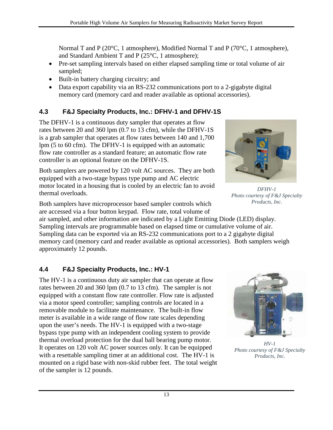Normal T and P (20°C, 1 atmosphere), Modified Normal T and P (70°C, 1 atmosphere), and Standard Ambient T and P (25°C, 1 atmosphere);

- Pre-set sampling intervals based on either elapsed sampling time or total volume of air sampled;
- Built-in battery charging circuitry; and
- Data export capability via an RS-232 communications port to a 2-gigabyte digital memory card (memory card and reader available as optional accessories).

## <span id="page-18-0"></span>**4.3 F&J Specialty Products, Inc.: DFHV-1 and DFHV-1S**

The DFHV-1 is a continuous duty sampler that operates at flow rates between 20 and 360 lpm (0.7 to 13 cfm), while the DFHV-1S is a grab sampler that operates at flow rates between 140 and 1,700 lpm (5 to 60 cfm). The DFHV-1 is equipped with an automatic flow rate controller as a standard feature; an automatic flow rate controller is an optional feature on the DFHV-1S.

Both samplers are powered by 120 volt AC sources. They are both equipped with a two-stage bypass type pump and AC electric motor located in a housing that is cooled by an electric fan to avoid thermal overloads.

Both samplers have microprocessor based sampler controls which are accessed via a four button keypad. Flow rate, total volume of

air sampled, and other information are indicated by a Light Emitting Diode (LED) display. Sampling intervals are programmable based on elapsed time or cumulative volume of air. Sampling data can be exported via an RS-232 communications port to a 2 gigabyte digital memory card (memory card and reader available as optional accessories). Both samplers weigh approximately 12 pounds.

## **4.4 F&J Specialty Products, Inc.: HV-1**

The HV-1 is a continuous duty air sampler that can operate at flow rates between 20 and 360 lpm (0.7 to 13 cfm). The sampler is not equipped with a constant flow rate controller. Flow rate is adjusted via a motor speed controller; sampling controls are located in a removable module to facilitate maintenance. The built-in flow meter is available in a wide range of flow rate scales depending upon the user's needs. The HV-1 is equipped with a two-stage bypass type pump with an independent cooling system to provide thermal overload protection for the dual ball bearing pump motor. It operates on 120 volt AC power sources only. It can be equipped with a resettable sampling timer at an additional cost. The HV-1 is mounted on a rigid base with non-skid rubber feet. The total weight of the sampler is 12 pounds.

<span id="page-18-1"></span>

*HV-1 Photo courtesy of F&J Specialty Products, Inc.*



*DFHV-1 Photo courtesy of F&J Specialty Products, Inc.*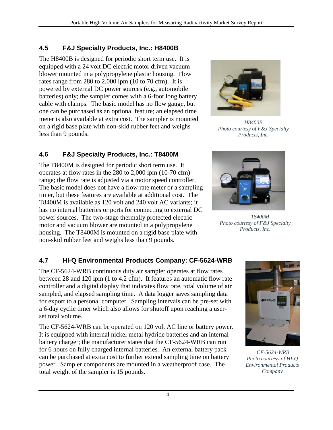#### **4.5 F&J Specialty Products, Inc.: H8400B**

The H8400B is designed for periodic short term use. It is equipped with a 24 volt DC electric motor driven vacuum blower mounted in a polypropylene plastic housing. Flow rates range from 280 to 2,000 lpm (10 to 70 cfm). It is powered by external DC power sources (e.g., automobile batteries) only; the sampler comes with a 6-foot long battery cable with clamps. The basic model has no flow gauge, but one can be purchased as an optional feature; an elapsed time meter is also available at extra cost. The sampler is mounted on a rigid base plate with non-skid rubber feet and weighs less than 9 pounds.

#### **4.6 F&J Specialty Products, Inc.: T8400M**

The T8400M is designed for periodic short term use. It operates at flow rates in the 280 to 2,000 lpm (10-70 cfm) range; the flow rate is adjusted via a motor speed controller. The basic model does not have a flow rate meter or a sampling timer, but these features are available at additional cost. The T8400M is available as 120 volt and 240 volt AC variants; it has no internal batteries or ports for connecting to external DC power sources. The two-stage thermally protected electric motor and vacuum blower are mounted in a polypropylene housing. The T8400M is mounted on a rigid base plate with non-skid rubber feet and weighs less than 9 pounds.

## **4.7 HI-Q Environmental Products Company: CF-5624-WRB**

The CF-5624-WRB continuous duty air sampler operates at flow rates between 28 and 120 lpm (1 to 4.2 cfm). It features an automatic flow rate controller and a digital display that indicates flow rate, total volume of air sampled, and elapsed sampling time. A data logger saves sampling data for export to a personal computer. Sampling intervals can be pre-set with a 6-day cyclic timer which also allows for shutoff upon reaching a userset total volume.

The CF-5624-WRB can be operated on 120 volt AC line or battery power. It is equipped with internal nickel metal hydride batteries and an internal battery charger; the manufacturer states that the CF-5624-WRB can run for 6 hours on fully charged internal batteries. An external battery pack can be purchased at extra cost to further extend sampling time on battery power. Sampler components are mounted in a weatherproof case. The total weight of the sampler is 15 pounds.

<span id="page-19-0"></span>

*H8400B Photo courtesy of F&J Specialty Products, Inc.*

<span id="page-19-1"></span>

 *T8400M Photo courtesy of F&J Specialty Products, Inc.*

<span id="page-19-2"></span>

*CF-5624-WRB Photo courtesy of HI-Q Environmental Products Company*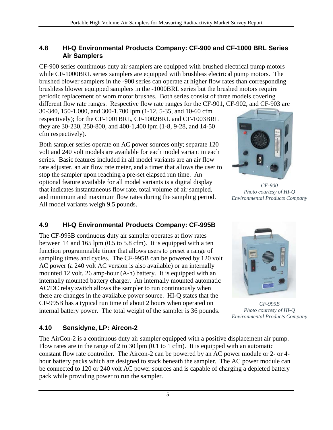#### <span id="page-20-0"></span>**4.8 HI-Q Environmental Products Company: CF-900 and CF-1000 BRL Series Air Samplers**

CF-900 series continuous duty air samplers are equipped with brushed electrical pump motors while CF-1000BRL series samplers are equipped with brushless electrical pump motors. The brushed blower samplers in the -900 series can operate at higher flow rates than corresponding brushless blower equipped samplers in the -1000BRL series but the brushed motors require periodic replacement of worn motor brushes. Both series consist of three models covering different flow rate ranges. Respective flow rate ranges for the CF-901, CF-902, and CF-903 are

30-340, 150-1,000, and 300-1,700 lpm (1-12, 5-35, and 10-60 cfm respectively); for the CF-1001BRL, CF-1002BRL and CF-1003BRL they are 30-230, 250-800, and 400-1,400 lpm (1-8, 9-28, and 14-50 cfm respectively).

Both sampler series operate on AC power sources only; separate 120 volt and 240 volt models are available for each model variant in each series. Basic features included in all model variants are an air flow rate adjuster, an air flow rate meter, and a timer that allows the user to stop the sampler upon reaching a pre-set elapsed run time.An optional feature available for all model variants is a digital display that indicates instantaneous flow rate, total volume of air sampled, and minimum and maximum flow rates during the sampling period. All model variants weigh 9.5 pounds.

## **4.9 HI-Q Environmental Products Company: CF-995B**

The CF-995B continuous duty air sampler operates at flow rates between 14 and 165 lpm (0.5 to 5.8 cfm). It is equipped with a ten function programmable timer that allows users to preset a range of sampling times and cycles. The CF-995B can be powered by 120 volt AC power (a 240 volt AC version is also available) or an internally mounted 12 volt, 26 amp-hour (A-h) battery. It is equipped with an internally mounted battery charger. An internally mounted automatic AC/DC relay switch allows the sampler to run continuously when there are changes in the available power source. HI-Q states that the CF-995B has a typical run time of about 2 hours when operated on internal battery power. The total weight of the sampler is 36 pounds.



*CF-900 Photo courtesy of HI-Q Environmental Products Company*

<span id="page-20-1"></span>

*CF-995B Photo courtesy of HI-Q Environmental Products Company*

#### <span id="page-20-2"></span>**4.10 Sensidyne, LP: Aircon-2**

The AirCon-2 is a continuous duty air sampler equipped with a positive displacement air pump. Flow rates are in the range of 2 to 30 lpm (0.1 to 1 cfm). It is equipped with an automatic constant flow rate controller. The Aircon-2 can be powered by an AC power module or 2- or 4 hour battery packs which are designed to stack beneath the sampler. The AC power module can be connected to 120 or 240 volt AC power sources and is capable of charging a depleted battery pack while providing power to run the sampler.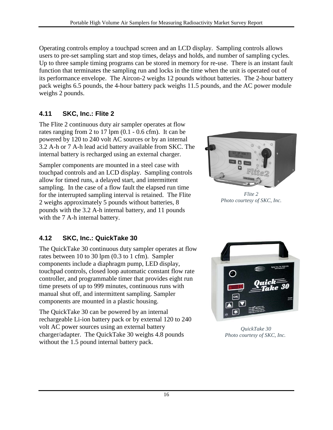Operating controls employ a touchpad screen and an LCD display. Sampling controls allows users to pre-set sampling start and stop times, delays and holds, and number of sampling cycles. Up to three sample timing programs can be stored in memory for re-use. There is an instant fault function that terminates the sampling run and locks in the time when the unit is operated out of its performance envelope. The Aircon-2 weighs 12 pounds without batteries. The 2-hour battery pack weighs 6.5 pounds, the 4-hour battery pack weighs 11.5 pounds, and the AC power module weighs 2 pounds.

#### **4.11 SKC, Inc.: Flite 2**

The Flite 2 continuous duty air sampler operates at flow rates ranging from 2 to 17 lpm (0.1 - 0.6 cfm). It can be powered by 120 to 240 volt AC sources or by an internal 3.2 A-h or 7 A-h lead acid battery available from SKC. The internal battery is recharged using an external charger.

Sampler components are mounted in a steel case with touchpad controls and an LCD display. Sampling controls allow for timed runs, a delayed start, and intermittent sampling. In the case of a flow fault the elapsed run time for the interrupted sampling interval is retained. The Flite 2 weighs approximately 5 pounds without batteries, 8 pounds with the 3.2 A-h internal battery, and 11 pounds with the 7 A-h internal battery.

<span id="page-21-0"></span>

*Flite 2 Photo courtesy of SKC, Inc.*

## **4.12 SKC, Inc.: QuickTake 30**

The QuickTake 30 continuous duty sampler operates at flow rates between 10 to 30 lpm (0.3 to 1 cfm). Sampler components include a diaphragm pump, LED display, touchpad controls, closed loop automatic constant flow rate controller, and programmable timer that provides eight run time presets of up to 999 minutes, continuous runs with manual shut off, and intermittent sampling. Sampler components are mounted in a plastic housing.

The QuickTake 30 can be powered by an internal rechargeable Li-ion battery pack or by external 120 to 240 volt AC power sources using an external battery charger/adapter. The QuickTake 30 weighs 4.8 pounds without the 1.5 pound internal battery pack.

<span id="page-21-1"></span>

*QuickTake 30 Photo courtesy of SKC, Inc.*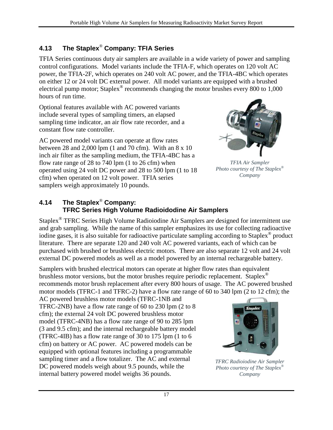#### <span id="page-22-0"></span>**4.13 The Staplex**® **Company: TFIA Series**

TFIA Series continuous duty air samplers are available in a wide variety of power and sampling control configurations. Model variants include the TFIA-F, which operates on 120 volt AC power, the TFIA-2F, which operates on 240 volt AC power, and the TFIA-4BC which operates on either 12 or 24 volt DC external power. All model variants are equipped with a brushed electrical pump motor; Staplex® recommends changing the motor brushes every 800 to 1,000 hours of run time.

Optional features available with AC powered variants include several types of sampling timers, an elapsed sampling time indicator, an air flow rate recorder, and a constant flow rate controller.

AC powered model variants can operate at flow rates between 28 and 2,000 lpm (1 and 70 cfm). With an 8 x 10 inch air filter as the sampling medium, the TFIA-4BC has a flow rate range of 28 to 740 lpm (1 to 26 cfm) when operated using 24 volt DC power and 28 to 500 lpm (1 to 18 cfm) when operated on 12 volt power. TFIA series samplers weigh approximately 10 pounds.



*TFIA Air Sampler Photo courtesy of The Staplex® Company*

#### <span id="page-22-1"></span>**4.14 The Staplex**® **Company: TFRC Series High Volume Radioidodine Air Samplers**

Staplex® TFRC Series High Volume Radioiodine Air Samplers are designed for intermittent use and grab sampling. While the name of this sampler emphasizes its use for collecting radioactive iodine gases, it is also suitable for radioactive particulate sampling according to Staplex® product literature. There are separate 120 and 240 volt AC powered variants, each of which can be purchased with brushed or brushless electric motors. There are also separate 12 volt and 24 volt external DC powered models as well as a model powered by an internal rechargeable battery.

Samplers with brushed electrical motors can operate at higher flow rates than equivalent brushless motor versions, but the motor brushes require periodic replacement. Staplex<sup>®</sup> recommends motor brush replacement after every 800 hours of usage. The AC powered brushed motor models (TFRC-1 and TFRC-2) have a flow rate range of 60 to 340 lpm (2 to 12 cfm); the

AC powered brushless motor models (TFRC-1NB and TFRC-2NB) have a flow rate range of 60 to 230 lpm (2 to 8 cfm); the external 24 volt DC powered brushless motor model (TFRC-4NB) has a flow rate range of 90 to 285 lpm (3 and 9.5 cfm); and the internal rechargeable battery model (TFRC-4IB) has a flow rate range of 30 to 175 lpm (1 to 6 cfm) on battery or AC power. AC powered models can be equipped with optional features including a programmable sampling timer and a flow totalizer. The AC and external DC powered models weigh about 9.5 pounds, while the internal battery powered model weighs 36 pounds.



*TFRC Radioiodine Air Sampler Photo courtesy of The Staplex® Company*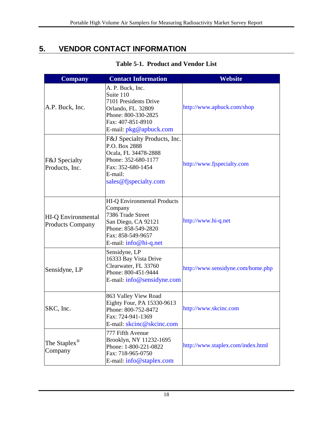# <span id="page-23-0"></span>**5. VENDOR CONTACT INFORMATION**

<span id="page-23-1"></span>

| <b>Company</b>                                       | <b>Contact Information</b>                                                                                                                                       | Website                           |
|------------------------------------------------------|------------------------------------------------------------------------------------------------------------------------------------------------------------------|-----------------------------------|
| A.P. Buck, Inc.                                      | A. P. Buck, Inc.<br>Suite 110<br>7101 Presidents Drive<br>Orlando, FL. 32809<br>Phone: 800-330-2825<br>Fax: 407-851-8910<br>E-mail: $pkg@apbuch.com$             | http://www.apbuck.com/shop        |
| <b>F&amp;J</b> Specialty<br>Products, Inc.           | F&J Specialty Products, Inc.<br>P.O. Box 2888<br>Ocala, FL 34478-2888<br>Phone: 352-680-1177<br>Fax: 352-680-1454<br>E-mail:<br>sales@fjspecialty.com            | http://www.fjspecialty.com        |
| <b>HI-Q Environmental</b><br><b>Products Company</b> | <b>HI-Q Environmental Products</b><br>Company<br>7386 Trade Street<br>San Diego, CA 92121<br>Phone: 858-549-2820<br>Fax: 858-549-9657<br>E-mail: $info@hi-q.net$ | http://www.hi-q.net               |
| Sensidyne, LP                                        | Sensidyne, LP<br>16333 Bay Vista Drive<br>Clearwater, FL 33760<br>Phone: 800-451-9444<br>E-mail: info@sensidyne.com                                              | http://www.sensidyne.com/home.php |
| SKC, Inc.                                            | 863 Valley View Road<br>Eighty Four, PA 15330-9613<br>Phone: 800-752-8472<br>Fax: 724-941-1369<br>E-mail: skcinc@skcinc.com                                      | http://www.skcinc.com             |
| The Staplex <sup>®</sup><br>Company                  | 777 Fifth Avenue<br>Brooklyn, NY 11232-1695<br>Phone: 1-800-221-0822<br>Fax: 718-965-0750<br>E-mail: info@staplex.com                                            | http://www.staplex.com/index.html |

#### **Table 5-1. Product and Vendor List**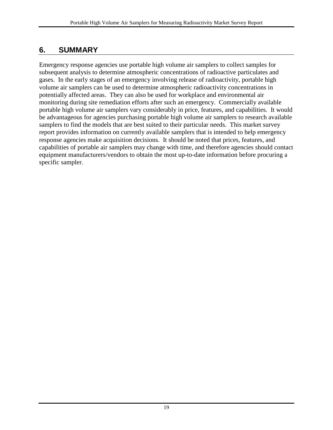## <span id="page-24-0"></span>**6. SUMMARY**

Emergency response agencies use portable high volume air samplers to collect samples for subsequent analysis to determine atmospheric concentrations of radioactive particulates and gases. In the early stages of an emergency involving release of radioactivity, portable high volume air samplers can be used to determine atmospheric radioactivity concentrations in potentially affected areas. They can also be used for workplace and environmental air monitoring during site remediation efforts after such an emergency. Commercially available portable high volume air samplers vary considerably in price, features, and capabilities. It would be advantageous for agencies purchasing portable high volume air samplers to research available samplers to find the models that are best suited to their particular needs. This market survey report provides information on currently available samplers that is intended to help emergency response agencies make acquisition decisions. It should be noted that prices, features, and capabilities of portable air samplers may change with time, and therefore agencies should contact equipment manufacturers/vendors to obtain the most up-to-date information before procuring a specific sampler.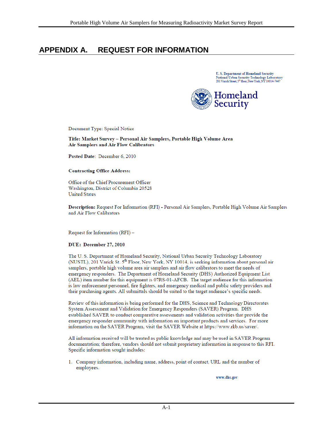## <span id="page-25-0"></span>**APPENDIX A. REQUEST FOR INFORMATION**

**U.S. Department of Homeland Security** National Urban Security Technology Laboratory<br>201 Variek Street, 5<sup>th</sup> floor, New York, NY 10014-7447



Document Type: Special Notice

Title: Market Survey - Personal Air Samplers, Portable High Volume Area **Air Samplers and Air Flow Calibrators** 

Posted Date: December 6, 2010

#### **Contracting Office Address:**

Office of the Chief Procurement Officer Washington, District of Columbia 20528 **United States** 

Description: Request For Information (RFI) - Personal Air Samplers, Portable High Volume Air Samplers and Air Flow Calibrators

Request for Information (RFI) -

#### DUE: December 27, 2010

The U.S. Department of Homeland Security, National Urban Security Technology Laboratory (NUSTL), 201 Varick St. 5<sup>th</sup> Floor, New York, NY 10014, is seeking information about personal air samplers, portable high volume area air samplers and air flow calibrators to meet the needs of emergency responders. The Department of Homeland Security (DHS) Authorized Equipment List (AEL) item number for this equipment is 07RS-01-AFCB. The target audience for this information is law enforcement personnel, fire fighters, and emergency medical and public safety providers and their purchasing agents. All submittals should be suited to the target audience's specific needs.

Review of this information is being performed for the DHS, Science and Technology Directorates System Assessment and Validation for Emergency Responders (SAVER) Program. DHS established SAVER to conduct comparative assessments and validation activities that provide the emergency responder community with information on important products and services. For more information on the SAVER Program, visit the SAVER Website at https://www.rkb.us/saver/.

All information received will be treated as public knowledge and may be used in SAVER Program documentation; therefore, vendors should not submit proprietary information in response to this RFI. Specific information sought includes:

1. Company information, including name, address, point of contact, URL and the number of employees.

www.dhs.gov